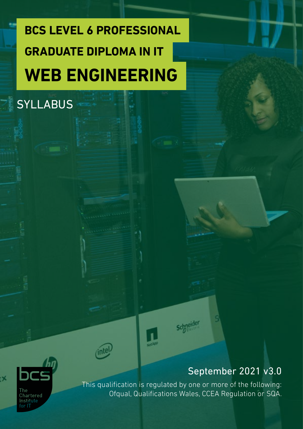# **BCS LEVEL 6 PROFESSIONAL WEB ENGINEERING GRADUATE DIPLOMA IN IT**

**SYLLABUS** 





This qualification is regulated by one or more of the following: Ofqual, Qualifications Wales, CCEA Regulation or SQA.

**Schneider**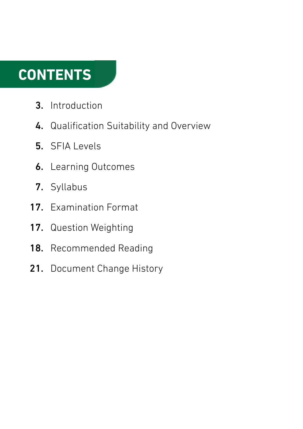## **CONTENTS**

- Introduction 3.
- 4. Qualification Suitability and Overview
- 5. SFIA Levels
- **6.** Learning Outcomes
- 7. Syllabus
- 17. Examination Format
- 17. Question Weighting
- Recommended Reading 18.
- 21. Document Change History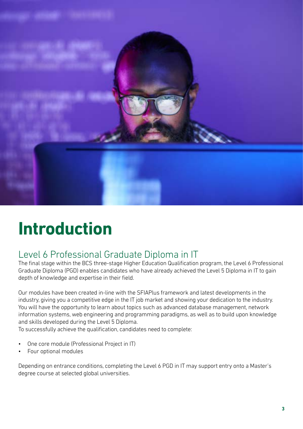

## **Introduction**

## Level 6 Professional Graduate Diploma in IT

The final stage within the BCS three-stage Higher Education Qualification program, the Level 6 Professional Graduate Diploma (PGD) enables candidates who have already achieved the Level 5 Diploma in IT to gain depth of knowledge and expertise in their field.

Our modules have been created in-line with the SFIAPlus framework and latest developments in the industry, giving you a competitive edge in the IT job market and showing your dedication to the industry. You will have the opportunity to learn about topics such as advanced database management, network information systems, web engineering and programming paradigms, as well as to build upon knowledge and skills developed during the Level 5 Diploma.

To successfully achieve the qualification, candidates need to complete:

- One core module (Professional Project in IT)
- Four optional modules

Depending on entrance conditions, completing the Level 6 PGD in IT may support entry onto a Master's degree course at selected global universities.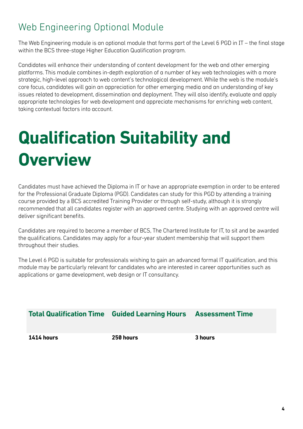## Web Engineering Optional Module

The Web Engineering module is an optional module that forms part of the Level 6 PGD in IT – the final stage within the BCS three-stage Higher Education Qualification program.

Candidates will enhance their understanding of content development for the web and other emerging platforms. This module combines in-depth exploration of a number of key web technologies with a more strategic, high-level approach to web content's technological development. While the web is the module's core focus, candidates will gain an appreciation for other emerging media and an understanding of key issues related to development, dissemination and deployment. They will also identify, evaluate and apply appropriate technologies for web development and appreciate mechanisms for enriching web content, taking contextual factors into account.

# **Qualification Suitability and Overview**

Candidates must have achieved the Diploma in IT or have an appropriate exemption in order to be entered for the Professional Graduate Diploma (PGD). Candidates can study for this PGD by attending a training course provided by a BCS accredited Training Provider or through self-study, although it is strongly recommended that all candidates register with an approved centre. Studying with an approved centre will deliver significant benefits.

Candidates are required to become a member of BCS, The Chartered Institute for IT, to sit and be awarded the qualifications. Candidates may apply for a four-year student membership that will support them throughout their studies.

The Level 6 PGD is suitable for professionals wishing to gain an advanced formal IT qualification, and this module may be particularly relevant for candidates who are interested in career opportunities such as applications or game development, web design or IT consultancy.

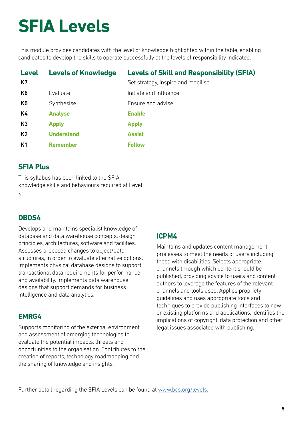# **SFIA Levels**

This module provides candidates with the level of knowledge highlighted within the table, enabling candidates to develop the skills to operate successfully at the levels of responsibility indicated.

| <b>Level</b>   | <b>Levels of Knowledge</b> | <b>Levels of Skill and Responsibility (SFIA)</b> |
|----------------|----------------------------|--------------------------------------------------|
| K7             |                            | Set strategy, inspire and mobilise               |
| K <sub>6</sub> | Evaluate                   | Initiate and influence                           |
| K <sub>5</sub> | Synthesise                 | Ensure and advise                                |
| K4             | <b>Analyse</b>             | <b>Enable</b>                                    |
| K <sub>3</sub> | <b>Apply</b>               | <b>Apply</b>                                     |
| K <sub>2</sub> | <b>Understand</b>          | <b>Assist</b>                                    |
| K <sub>1</sub> | <b>Remember</b>            | <b>Follow</b>                                    |

## **SFIA Plus**

This syllabus has been linked to the SFIA knowledge skills and behaviours required at Level 6.

## **DBDS4**

Develops and maintains specialist knowledge of database and data warehouse concepts, design principles, architectures, software and facilities. Assesses proposed changes to object/data structures, in order to evaluate alternative options. Implements physical database designs to support transactional data requirements for performance and availability. Implements data warehouse designs that support demands for business intelligence and data analytics.

## **EMRG4**

Supports monitoring of the external environment and assessment of emerging technologies to evaluate the potential impacts, threats and opportunities to the organisation. Contributes to the creation of reports, technology roadmapping and the sharing of knowledge and insights.

## **ICPM4**

Maintains and updates content management processes to meet the needs of users including those with disabilities. Selects appropriate channels through which content should be published, providing advice to users and content authors to leverage the features of the relevant channels and tools used. Applies propriety guidelines and uses appropriate tools and techniques to provide publishing interfaces to new or existing platforms and applications. Identifies the implications of copyright, data protection and other legal issues associated with publishing.

Further detail regarding the SFIA Levels can be found at [www.bcs.org/levels.](https://www.bcs.org/media/5165/sfia-levels-knowledge.pdf)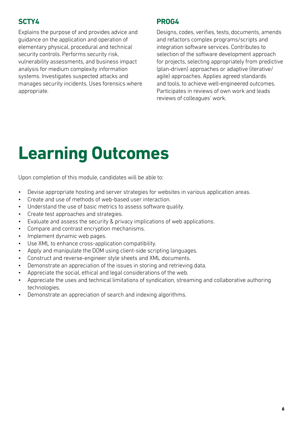## **SCTY4**

Explains the purpose of and provides advice and guidance on the application and operation of elementary physical, procedural and technical security controls. Performs security risk, vulnerability assessments, and business impact analysis for medium complexity information systems. Investigates suspected attacks and manages security incidents. Uses forensics where appropriate.

## **PROG4**

Designs, codes, verifies, tests, documents, amends and refactors complex programs/scripts and integration software services. Contributes to selection of the software development approach for projects, selecting appropriately from predictive (plan-driven) approaches or adaptive (iterative/ agile) approaches. Applies agreed standards and tools, to achieve well-engineered outcomes. Participates in reviews of own work and leads reviews of colleagues' work.

## **Learning Outcomes**

Upon completion of this module, candidates will be able to:

- Devise appropriate hosting and server strategies for websites in various application areas.
- Create and use of methods of web-based user interaction.
- Understand the use of basic metrics to assess software quality.
- Create test approaches and strategies.
- Evaluate and assess the security & privacy implications of web applications.
- Compare and contrast encryption mechanisms.
- Implement dynamic web pages.
- Use XML to enhance cross-application compatibility.
- Apply and manipulate the DOM using client-side scripting languages.
- Construct and reverse-engineer style sheets and XML documents.
- Demonstrate an appreciation of the issues in storing and retrieving data.
- Appreciate the social, ethical and legal considerations of the web.
- Appreciate the uses and technical limitations of syndication, streaming and collaborative authoring technologies.
- Demonstrate an appreciation of search and indexing algorithms.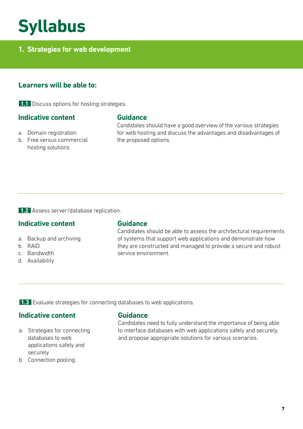## **Syllabus**

## **1. Strategies for web development**

## **Learners will be able to:**

**1.1** Discuss options for hosting strategies.

#### **Indicative content**

- a. Domain registration
- b. Free versus commercial hosting solutions

#### **Guidance**

Candidates should have a good overview of the various strategies for web hosting and discuss the advantages and disadvantages of the proposed options.

**1.2** Assess server/database replication.

## **Indicative content**

- a. Backup and archiving
- b. RAID
- c. Bandwidth
- d. Availability

#### **Guidance**

Candidates should be able to assess the architectural requirements of systems that support web applications and demonstrate how they are constructed and managed to provide a secure and robust service environment.

**1.3** Evaluate strategies for connecting databases to web applications.

### **Indicative content**

- a. Strategies for connecting databases to web applications safely and securely
- b. Connection pooling

#### **Guidance**

Candidates need to fully understand the importance of being able to interface databases with web applications safely and securely, and propose appropriate solutions for various scenarios.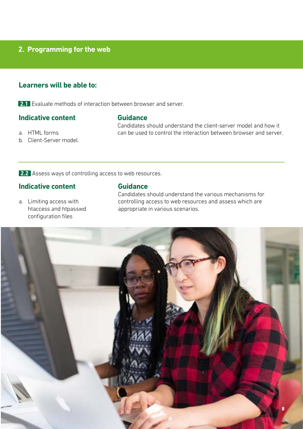### **2. Programming for the web**

## **Learners will be able to:**

**2.1** Evaluate methods of interaction between browser and server.

## **Indicative content**

#### **Guidance**

Candidates should understand the client-server model and how it can be used to control the interaction between browser and server.

- a. HTML forms b. Client-Server model.
- **2.2** Assess ways of controlling access to web resources.

## **Indicative content**

a. Limiting access with htaccess and htpasswd configuration files

#### **Guidance**

Candidates should understand the various mechanisms for controlling access to web resources and assess which are appropriate in various scenarios.

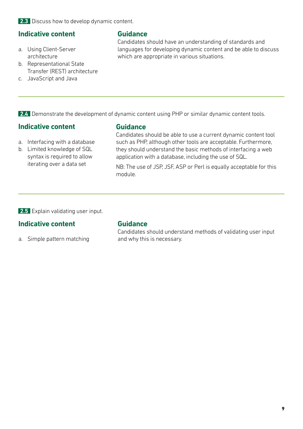**2.3** Discuss how to develop dynamic content.

#### **Indicative content**

- a. Using Client-Server architecture
- b. Representational State Transfer (REST) architecture
- c. JavaScript and Java

## **Guidance**

Candidates should have an understanding of standards and languages for developing dynamic content and be able to discuss which are appropriate in various situations.

**2.4** Demonstrate the development of dynamic content using PHP or similar dynamic content tools.

### **Indicative content**

- a. Interfacing with a database
- b. Limited knowledge of SQL syntax is required to allow iterating over a data set

### **Guidance**

Candidates should be able to use a current dynamic content tool such as PHP, although other tools are acceptable. Furthermore, they should understand the basic methods of interfacing a web application with a database, including the use of SQL.

NB: The use of JSP, JSF, ASP or Perl is equally acceptable for this module.

**2.5** Explain validating user input.

## **Indicative content**

a. Simple pattern matching

#### **Guidance**

Candidates should understand methods of validating user input and why this is necessary.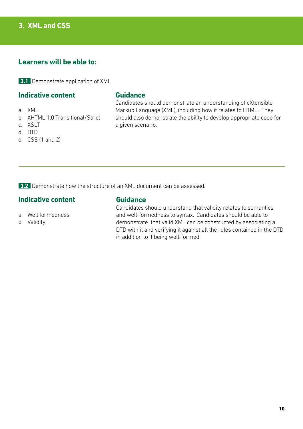## **3. XML and CSS**

## **Learners will be able to:**

**3.1** Demonstrate application of XML.

## **Indicative content**

- a. XML
- b. XHTML 1.0 Transitional/Strict
- c. XSLT
- d. DTD
- e. CSS (1 and 2)

#### **Guidance**

Candidates should demonstrate an understanding of eXtensible Markup Language (XML), including how it relates to HTML. They should also demonstrate the ability to develop appropriate code for a given scenario.

**3.2** Demonstrate how the structure of an XML document can be assessed.

### **Indicative content**

a. Well formedness

b. Validity

## **Guidance**

Candidates should understand that validity relates to semantics and well-formedness to syntax. Candidates should be able to demonstrate that valid XML can be constructed by associating a DTD with it and verifying it against all the rules contained in the DTD in addition to it being well-formed.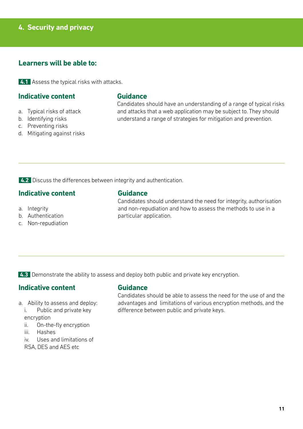## **4. Security and privacy**

## **Learners will be able to:**

**4.1** Assess the typical risks with attacks.

#### **Indicative content**

- a. Typical risks of attack
- b. Identifying risks
- c. Preventing risks
- d. Mitigating against risks

#### **Guidance**

Candidates should have an understanding of a range of typical risks and attacks that a web application may be subject to. They should understand a range of strategies for mitigation and prevention.

**4.2** Discuss the differences between integrity and authentication.

#### **Indicative content**

- a. Integrity
- b. Authentication
- c. Non-repudiation

#### **Guidance**

Candidates should understand the need for integrity, authorisation and non-repudiation and how to assess the methods to use in a particular application.

**4.3** Demonstrate the ability to assess and deploy both public and private key encryption.

## **Indicative content**

- a. Ability to assess and deploy:
	- i. Public and private key encryption
	- ii. On-the-fly encryption
	- iii. Hashes
	- iv. Uses and limitations of
	- RSA, DES and AES etc

#### **Guidance**

Candidates should be able to assess the need for the use of and the advantages and limitations of various encryption methods, and the difference between public and private keys.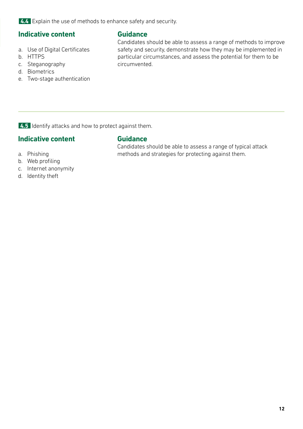**4.4** Explain the use of methods to enhance safety and security.

## **Indicative content**

- a. Use of Digital Certificates
- b. HTTPS
- c. Steganography
- d. Biometrics
- e. Two-stage authentication

**Guidance**

Candidates should be able to assess a range of methods to improve safety and security, demonstrate how they may be implemented in particular circumstances, and assess the potential for them to be circumvented.

**4.5** Identify attacks and how to protect against them.

## **Indicative content**

## **Guidance**

Candidates should be able to assess a range of typical attack methods and strategies for protecting against them.

c. Internet anonymity

a. Phishing b. Web profiling

d. Identity theft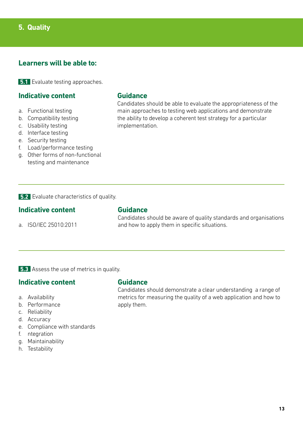## **Learners will be able to:**

**5.1** Evaluate testing approaches.

## **Indicative content**

- a. Functional testing
- b. Compatibility testing
- c. Usability testing
- d. Interface testing
- e. Security testing
- f. Load/performance testing
- g. Other forms of non-functional testing and maintenance

#### **Guidance**

Candidates should be able to evaluate the appropriateness of the main approaches to testing web applications and demonstrate the ability to develop a coherent test strategy for a particular implementation.

**5.2** Evaluate characteristics of quality.

#### **Indicative content**

a. ISO/IEC 25010:2011

#### **Guidance**

Candidates should be aware of quality standards and organisations and how to apply them in specific situations.

**5.3** Assess the use of metrics in quality.

#### **Indicative content**

- a. Availability
- b. Performance
- c. Reliability
- d. Accuracy
- e. Compliance with standards
- f. ntegration
- g. Maintainability
- h. Testability

#### **Guidance**

Candidates should demonstrate a clear understanding a range of metrics for measuring the quality of a web application and how to apply them.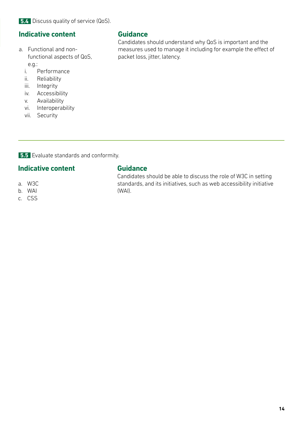## **Indicative content**

- a. Functional and nonfunctional aspects of QoS, e.g.:
	- i. Performance
	- ii. Reliability
	- iii. Integrity
	- iv. Accessibility
	- v. Availability
	- vi. Interoperability
	- vii. Security

### **Guidance**

Candidates should understand why QoS is important and the measures used to manage it including for example the effect of packet loss, jitter, latency.

**5.5** Evaluate standards and conformity.

## **Indicative content**

- a. W3C
- b. WAI
- c. CSS

## **Guidance**

Candidates should be able to discuss the role of W3C in setting standards, and its initiatives, such as web accessibility initiative (WAI).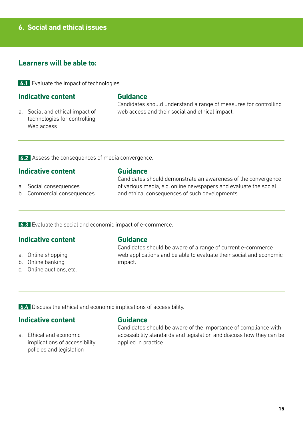## **6. Social and ethical issues**

## **Learners will be able to:**

**6.1** Evaluate the impact of technologies.

#### **Indicative content**

#### **Guidance**

a. Social and ethical impact of technologies for controlling Web access

Candidates should understand a range of measures for controlling web access and their social and ethical impact.

**6.2** Assess the consequences of media convergence.

#### **Indicative content**

- **Guidance**
- a. Social consequences b. Commercial consequences

Candidates should demonstrate an awareness of the convergence of various media, e.g. online newspapers and evaluate the social and ethical consequences of such developments.

**6.3** Evaluate the social and economic impact of e-commerce.

#### **Indicative content**

- a. Online shopping
- b. Online banking
- c. Online auctions, etc.

#### **Guidance**

Candidates should be aware of a range of current e-commerce web applications and be able to evaluate their social and economic impact.

**6.4** Discuss the ethical and economic implications of accessibility.

#### **Indicative content**

a. Ethical and economic implications of accessibility policies and legislation

#### **Guidance**

Candidates should be aware of the importance of compliance with accessibility standards and legislation and discuss how they can be applied in practice.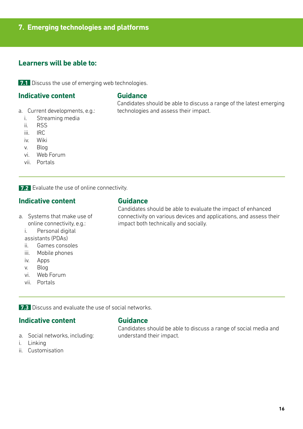## **7. Emerging technologies and platforms**

## **Learners will be able to:**

**7.1** Discuss the use of emerging web technologies.

### **Indicative content**

- a. Current developments, e.g.:
	- i. Streaming media
	- ii. RSS
	- iii. IRC
	- iv. Wiki
	- v. Blog
	- vi. Web Forum
	- vii. Portals

**7.2** Evaluate the use of online connectivity.

## **Indicative content**

- a. Systems that make use of online connectivity, e.g.:
	- i. Personal digital assistants (PDAs)
	- ii. Games consoles
	- iii. Mobile phones
	- iv. Apps
	- v. Blog
	- vi. Web Forum
	- vii. Portals

**Guidance**

**Guidance**

technologies and assess their impact.

Candidates should be able to evaluate the impact of enhanced connectivity on various devices and applications, and assess their impact both technically and socially.

Candidates should be able to discuss a range of the latest emerging

**7.3** Discuss and evaluate the use of social networks.

#### **Indicative content**

- a. Social networks, including:
- i. Linking
- ii. Customisation

#### **Guidance**

Candidates should be able to discuss a range of social media and understand their impact.

**16**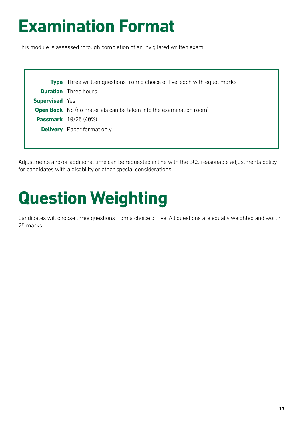# **Examination Format**

This module is assessed through completion of an invigilated written exam.

|                       | <b>Type</b> Three written questions from a choice of five, each with equal marks |
|-----------------------|----------------------------------------------------------------------------------|
|                       | <b>Duration</b> Three hours                                                      |
| <b>Supervised</b> Yes |                                                                                  |
|                       | <b>Open Book</b> No (no materials can be taken into the examination room)        |
|                       | <b>Passmark</b> 10/25 (40%)                                                      |
|                       | <b>Delivery</b> Paper format only                                                |
|                       |                                                                                  |

Adjustments and/or additional time can be requested in line with the BCS reasonable adjustments policy for candidates with a disability or other special considerations.

# **Question Weighting**

Candidates will choose three questions from a choice of five. All questions are equally weighted and worth 25 marks.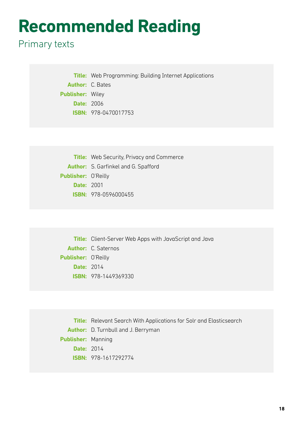## **Recommended Reading**

## Primary texts

**Title:** Web Programming: Building Internet Applications **Author:** C. Bates **Publisher:** Wiley **Date:** 2006 **ISBN:** 978-0470017753

**Title:** Web Security, Privacy and Commerce **Author:** S. Garfinkel and G. Spafford **Publisher:** O'Reilly **Date:** 2001 **ISBN:** 978-0596000455

**Title:** Client-Server Web Apps with JavaScript and Java **Author:** C. Saternos **Publisher:** O'Reilly **Date:** 2014 **ISBN:** 978-1449369330

**Title:** Relevant Search With Applications for Solr and Elasticsearch **Author:** D. Turnbull and J. Berryman **Publisher:** Manning **Date:** 2014 **ISBN:** 978-1617292774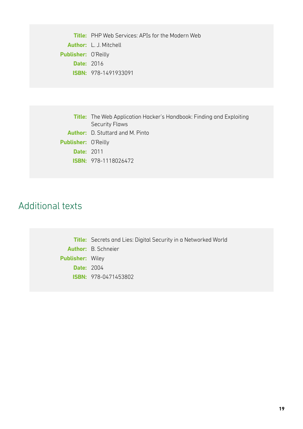**Title:** PHP Web Services: APIs for the Modern Web **Author:** L. J. Mitchell **Publisher:** O'Reilly **Date:** 2016 **ISBN:** 978-1491933091

|                            | <b>Title:</b> The Web Application Hacker's Handbook: Finding and Exploiting |
|----------------------------|-----------------------------------------------------------------------------|
|                            | <b>Security Flaws</b>                                                       |
|                            | <b>Author:</b> D. Stuttard and M. Pinto                                     |
| <b>Publisher: O'Reilly</b> |                                                                             |
| <b>Date: 2011</b>          |                                                                             |
|                            | <b>ISBN:</b> 978-1118026472                                                 |
|                            |                                                                             |

## Additional texts

**Title:** Secrets and Lies: Digital Security in a Networked World **Author:** B. Schneier **Publisher:** Wiley **Date:** 2004 **ISBN:** 978-0471453802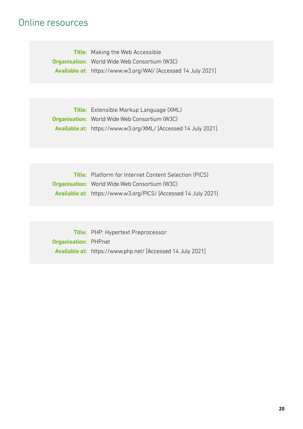## Online resources

**Title:** Making the Web Accessible **Organisation:** World Wide Web Consortium (W3C) **Available at:** https://www.w3.org/WAI/ [Accessed 14 July 2021]

**Title:** Extensible Markup Language (XML) **Organisation:** World Wide Web Consortium (W3C) **Available at:** https://www.w3.org/XML/ [Accessed 14 July 2021]

**Title:** Platform for Internet Content Selection (PICS) **Organisation:** World Wide Web Consortium (W3C) **Available at:** https://www.w3.org/PICS/ [Accessed 14 July 2021]

**Title:** PHP: Hypertext Preprocessor **Organisation:** PHP.net **Available at:** https://www.php.net/ [Accessed 14 July 2021]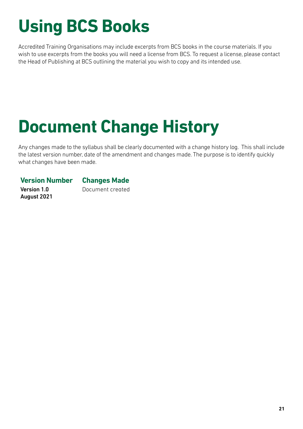# **Using BCS Books**

Accredited Training Organisations may include excerpts from BCS books in the course materials. If you wish to use excerpts from the books you will need a license from BCS. To request a license, please contact the Head of Publishing at BCS outlining the material you wish to copy and its intended use.

# **Document Change History**

Any changes made to the syllabus shall be clearly documented with a change history log. This shall include the latest version number, date of the amendment and changes made. The purpose is to identify quickly what changes have been made.

## **Version Number Changes Made**

Version 1.0 August 2021 Document created